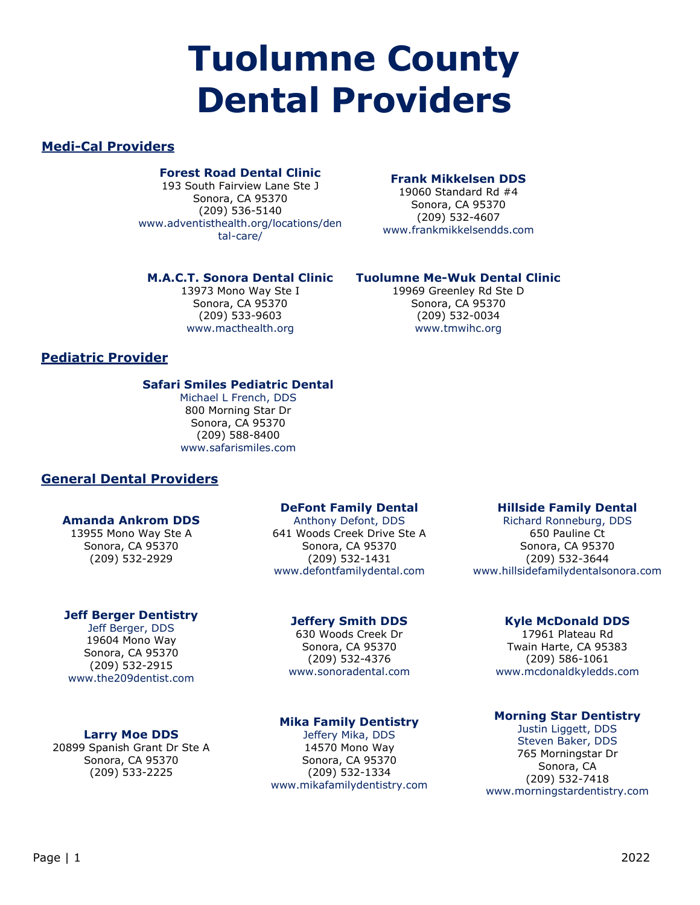# **Tuolumne County Dental Providers**

# **Medi-Cal Providers**

# **Forest Road Dental Clinic**

193 South Fairview Lane Ste J Sonora, CA 95370 (209) 536-5140 [www.adventisthealth.org/locations/den](file://///dssfs3/ph$/home/ado-golden/TCLOHP/Provider%20Info/www.adventisthealth.org/locations/dental-care/) [tal-care/](file://///dssfs3/ph$/home/ado-golden/TCLOHP/Provider%20Info/www.adventisthealth.org/locations/dental-care/)

### **Frank Mikkelsen DDS**

19060 Standard Rd #4 Sonora, CA 95370 (209) 532-4607 [www.frankmikkelsendds.com](file://///dssfs3/ph$/home/ado-golden/TCLOHP/Provider%20Info/www.frankmikkelsendds.com)

**Tuolumne Me-Wuk Dental Clinic** 19969 Greenley Rd Ste D Sonora, CA 95370 (209) 532-0034 [www.tmwihc.org](file://///dssfs3/ph$/home/ado-golden/TCLOHP/Provider%20Info/www.tmwihc.org)

# **M.A.C.T. Sonora Dental Clinic**

13973 Mono Way Ste I Sonora, CA 95370 (209) 533-9603 [www.macthealth.org](file://///dssfs3/ph$/home/ado-golden/TCLOHP/Provider%20Info/www.macthealth.org)

# **Pediatric Provider**

#### **Safari Smiles Pediatric Dental**

Michael L French, DDS 800 Morning Star Dr Sonora, CA 95370 (209) 588-8400 [www.safarismiles.com](file://///dssfs3/ph$/home/ado-golden/TCLOHP/Provider%20Info/www.safarismiles.com)

# **General Dental Providers**

#### **Amanda Ankrom DDS**

13955 Mono Way Ste A Sonora, CA 95370 (209) 532-2929

# **Jeff Berger Dentistry**

Jeff Berger, DDS 19604 Mono Way Sonora, CA 95370 (209) 532-2915 [www.the209dentist.com](file://///dssfs3/ph$/home/ado-golden/TCLOHP/Provider%20Info/www.the209dentist.com)

#### **Larry Moe DDS**

20899 Spanish Grant Dr Ste A Sonora, CA 95370 (209) 533-2225

# **DeFont Family Dental**

Anthony Defont, DDS 641 Woods Creek Drive Ste A Sonora, CA 95370 (209) 532-1431 [www.defontfamilydental.com](file://///dssfs3/ph$/home/ado-golden/TCLOHP/Provider%20Info/www.defontfamilydental.com)

# **Jeffery Smith DDS**

630 Woods Creek Dr Sonora, CA 95370 (209) 532-4376 [www.sonoradental.com](file://///dssfs3/ph$/home/ado-golden/TCLOHP/Provider%20Info/www.sonoradental.com)

# **Mika Family Dentistry**

Jeffery Mika, DDS 14570 Mono Way Sonora, CA 95370 (209) 532-1334 [www.mikafamilydentistry.com](file://///dssfs3/ph$/home/ado-golden/TCLOHP/Provider%20Info/www.mikafamilydentistry.com)

# **Hillside Family Dental**

Richard Ronneburg, DDS 650 Pauline Ct Sonora, CA 95370 (209) 532-3644 [www.hillsidefamilydentalsonora.com](file://///dssfs3/ph$/home/ado-golden/TCLOHP/Provider%20Info/www.hillsidefamilydentalsonora.com)

# **Kyle McDonald DDS**

17961 Plateau Rd Twain Harte, CA 95383 (209) 586-1061 [www.mcdonaldkyledds.com](file://///dssfs3/ph$/home/ado-golden/TCLOHP/Provider%20Info/www.mcdonaldkyledds.com)

# **Morning Star Dentistry**

Justin Liggett, DDS Steven Baker, DDS 765 Morningstar Dr Sonora, CA (209) 532-7418 www[.morningstardentistry.com](http://morningstardentistry.com/)